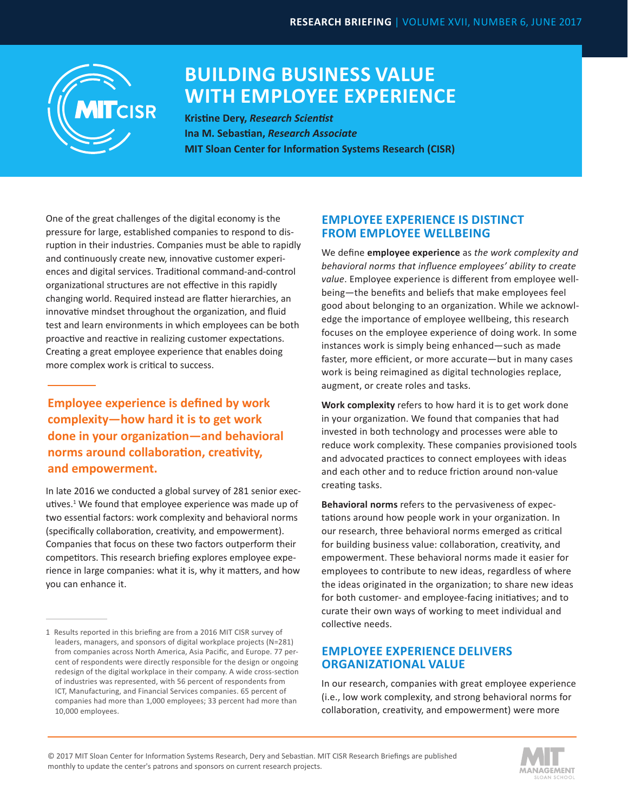

# **BUILDING BUSINESS VALUE WITH EMPLOYEE EXPERIENCE**

**Kristine Dery,** *Research Scientist* **Ina M. Sebastian,** *Research Associate*  **MIT Sloan Center for Information Systems Research (CISR)**

One of the great challenges of the digital economy is the pressure for large, established companies to respond to disruption in their industries. Companies must be able to rapidly and continuously create new, innovative customer experiences and digital services. Traditional command-and-control organizational structures are not effective in this rapidly changing world. Required instead are flatter hierarchies, an innovative mindset throughout the organization, and fluid test and learn environments in which employees can be both proactive and reactive in realizing customer expectations. Creating a great employee experience that enables doing more complex work is critical to success.

**Employee experience is defined by work complexity—how hard it is to get work done in your organization—and behavioral norms around collaboration, creativity, and empowerment.**

In late 2016 we conducted a global survey of 281 senior executives.<sup>1</sup> We found that employee experience was made up of two essential factors: work complexity and behavioral norms (specifically collaboration, creativity, and empowerment). Companies that focus on these two factors outperform their competitors. This research briefing explores employee experience in large companies: what it is, why it matters, and how you can enhance it.

# **EMPLOYEE EXPERIENCE IS DISTINCT FROM EMPLOYEE WELLBEING**

We define **employee experience** as *the work complexity and behavioral norms that influence employees' ability to create value*. Employee experience is different from employee wellbeing—the benefits and beliefs that make employees feel good about belonging to an organization. While we acknowledge the importance of employee wellbeing, this research focuses on the employee experience of doing work. In some instances work is simply being enhanced—such as made faster, more efficient, or more accurate—but in many cases work is being reimagined as digital technologies replace, augment, or create roles and tasks.

**Work complexity** refers to how hard it is to get work done in your organization. We found that companies that had invested in both technology and processes were able to reduce work complexity. These companies provisioned tools and advocated practices to connect employees with ideas and each other and to reduce friction around non-value creating tasks.

**Behavioral norms** refers to the pervasiveness of expectations around how people work in your organization. In our research, three behavioral norms emerged as critical for building business value: collaboration, creativity, and empowerment. These behavioral norms made it easier for employees to contribute to new ideas, regardless of where the ideas originated in the organization; to share new ideas for both customer- and employee-facing initiatives; and to curate their own ways of working to meet individual and collective needs.

# **EMPLOYEE EXPERIENCE DELIVERS ORGANIZATIONAL VALUE**

In our research, companies with great employee experience (i.e., low work complexity, and strong behavioral norms for collaboration, creativity, and empowerment) were more



<sup>1</sup> Results reported in this briefing are from a 2016 MIT CISR survey of leaders, managers, and sponsors of digital workplace projects (N=281) from companies across North America, Asia Pacific, and Europe. 77 percent of respondents were directly responsible for the design or ongoing redesign of the digital workplace in their company. A wide cross-section of industries was represented, with 56 percent of respondents from ICT, Manufacturing, and Financial Services companies. 65 percent of companies had more than 1,000 employees; 33 percent had more than 10,000 employees.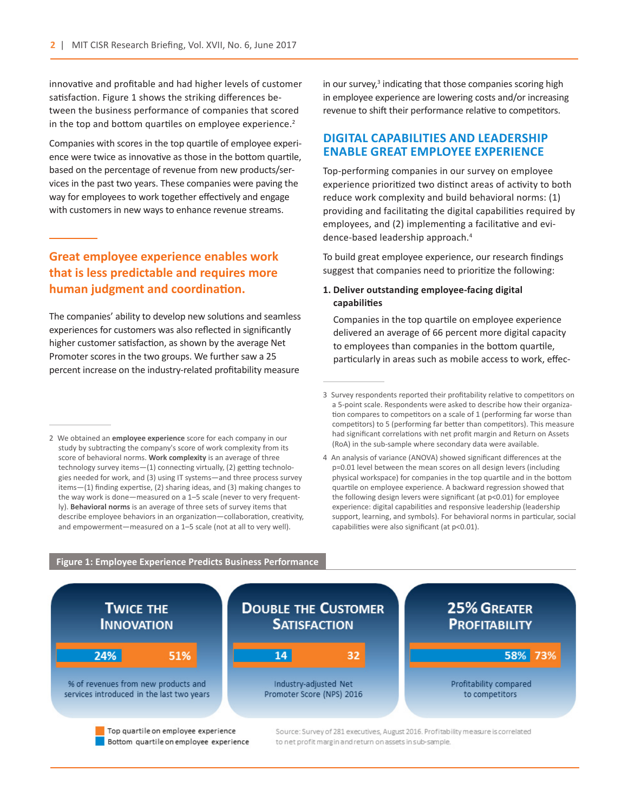innovative and profitable and had higher levels of customer satisfaction. Figure 1 shows the striking differences between the business performance of companies that scored in the top and bottom quartiles on employee experience.<sup>2</sup>

Companies with scores in the top quartile of employee experience were twice as innovative as those in the bottom quartile, based on the percentage of revenue from new products/services in the past two years. These companies were paving the way for employees to work together effectively and engage with customers in new ways to enhance revenue streams.

# **Great employee experience enables work that is less predictable and requires more human judgment and coordination.**

The companies' ability to develop new solutions and seamless experiences for customers was also reflected in significantly higher customer satisfaction, as shown by the average Net Promoter scores in the two groups. We further saw a 25 percent increase on the industry-related profitability measure

2 We obtained an **employee experience** score for each company in our study by subtracting the company's score of work complexity from its score of behavioral norms. **Work complexity** is an average of three technology survey items—(1) connecting virtually, (2) getting technologies needed for work, and (3) using IT systems—and three process survey items—(1) finding expertise, (2) sharing ideas, and (3) making changes to the way work is done—measured on a 1–5 scale (never to very frequently). **Behavioral norms** is an average of three sets of survey items that describe employee behaviors in an organization—collaboration, creativity, and empowerment—measured on a 1–5 scale (not at all to very well).

in our survey,<sup>3</sup> indicating that those companies scoring high in employee experience are lowering costs and/or increasing revenue to shift their performance relative to competitors.

## **DIGITAL CAPABILITIES AND LEADERSHIP ENABLE GREAT EMPLOYEE EXPERIENCE**

Top-performing companies in our survey on employee experience prioritized two distinct areas of activity to both reduce work complexity and build behavioral norms: (1) providing and facilitating the digital capabilities required by employees, and (2) implementing a facilitative and evidence-based leadership approach.<sup>4</sup>

To build great employee experience, our research findings suggest that companies need to prioritize the following:

### **1. Deliver outstanding employee-facing digital capabilities**

Companies in the top quartile on employee experience delivered an average of 66 percent more digital capacity to employees than companies in the bottom quartile, particularly in areas such as mobile access to work, effec-

**Figure 1: Employee Experience Predicts Business Performance**



<sup>3</sup> Survey respondents reported their profitability relative to competitors on a 5-point scale. Respondents were asked to describe how their organization compares to competitors on a scale of 1 (performing far worse than competitors) to 5 (performing far better than competitors). This measure had significant correlations with net profit margin and Return on Assets (RoA) in the sub-sample where secondary data were available.

<sup>4</sup> An analysis of variance (ANOVA) showed significant differences at the p=0.01 level between the mean scores on all design levers (including physical workspace) for companies in the top quartile and in the bottom quartile on employee experience. A backward regression showed that the following design levers were significant (at p<0.01) for employee experience: digital capabilities and responsive leadership (leadership support, learning, and symbols). For behavioral norms in particular, social capabilities were also significant (at p<0.01).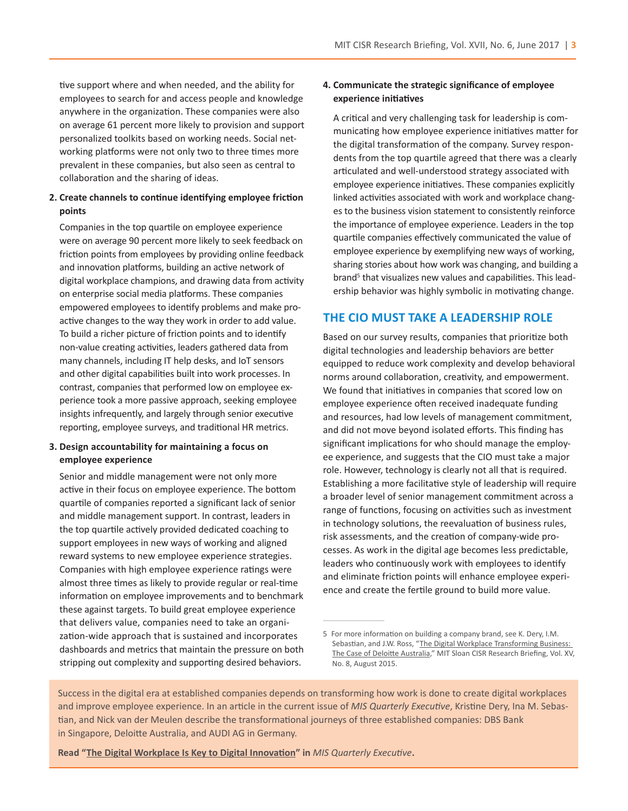tive support where and when needed, and the ability for employees to search for and access people and knowledge anywhere in the organization. These companies were also on average 61 percent more likely to provision and support personalized toolkits based on working needs. Social networking platforms were not only two to three times more prevalent in these companies, but also seen as central to collaboration and the sharing of ideas.

#### **2. Create channels to continue identifying employee friction points**

Companies in the top quartile on employee experience were on average 90 percent more likely to seek feedback on friction points from employees by providing online feedback and innovation platforms, building an active network of digital workplace champions, and drawing data from activity on enterprise social media platforms. These companies empowered employees to identify problems and make proactive changes to the way they work in order to add value. To build a richer picture of friction points and to identify non-value creating activities, leaders gathered data from many channels, including IT help desks, and IoT sensors and other digital capabilities built into work processes. In contrast, companies that performed low on employee experience took a more passive approach, seeking employee insights infrequently, and largely through senior executive reporting, employee surveys, and traditional HR metrics.

#### **3. Design accountability for maintaining a focus on employee experience**

Senior and middle management were not only more active in their focus on employee experience. The bottom quartile of companies reported a significant lack of senior and middle management support. In contrast, leaders in the top quartile actively provided dedicated coaching to support employees in new ways of working and aligned reward systems to new employee experience strategies. Companies with high employee experience ratings were almost three times as likely to provide regular or real-time information on employee improvements and to benchmark these against targets. To build great employee experience that delivers value, companies need to take an organization-wide approach that is sustained and incorporates dashboards and metrics that maintain the pressure on both stripping out complexity and supporting desired behaviors.

#### **4. Communicate the strategic significance of employee experience initiatives**

A critical and very challenging task for leadership is communicating how employee experience initiatives matter for the digital transformation of the company. Survey respondents from the top quartile agreed that there was a clearly articulated and well-understood strategy associated with employee experience initiatives. These companies explicitly linked activities associated with work and workplace changes to the business vision statement to consistently reinforce the importance of employee experience. Leaders in the top quartile companies effectively communicated the value of employee experience by exemplifying new ways of working, sharing stories about how work was changing, and building a brand<sup>5</sup> that visualizes new values and capabilities. This leadership behavior was highly symbolic in motivating change.

## **THE CIO MUST TAKE A LEADERSHIP ROLE**

Based on our survey results, companies that prioritize both digital technologies and leadership behaviors are better equipped to reduce work complexity and develop behavioral norms around collaboration, creativity, and empowerment. We found that initiatives in companies that scored low on employee experience often received inadequate funding and resources, had low levels of management commitment, and did not move beyond isolated efforts. This finding has significant implications for who should manage the employee experience, and suggests that the CIO must take a major role. However, technology is clearly not all that is required. Establishing a more facilitative style of leadership will require a broader level of senior management commitment across a range of functions, focusing on activities such as investment in technology solutions, the reevaluation of business rules, risk assessments, and the creation of company-wide processes. As work in the digital age becomes less predictable, leaders who continuously work with employees to identify and eliminate friction points will enhance employee experience and create the fertile ground to build more value.

Success in the digital era at established companies depends on transforming how work is done to create digital workplaces and improve employee experience. In an article in the current issue of *MIS Quarterly Executive*, Kristine Dery, Ina M. Sebastian, and Nick van der Meulen describe the transformational journeys of three established companies: DBS Bank in Singapore, Deloitte Australia, and AUDI AG in Germany.

**Read "[The Digital Workplace Is Key to Digital Innovation](http://misqe.org/ojs2/index.php/misqe/article/view/767)" in** *MIS Quarterly Executive***.**

<sup>5</sup> For more information on building a company brand, see K. Dery, I.M. Sebastian, and J.W. Ross, "The Digital Workplace Transforming Business: [The Case of Deloitte Australia](http://cisr.mit.edu/blog/documents/2015/08/20/2015_0801_digitalworkplace_derysebastianross.pdf/)," MIT Sloan CISR Research Briefing, Vol. XV, No. 8, August 2015.